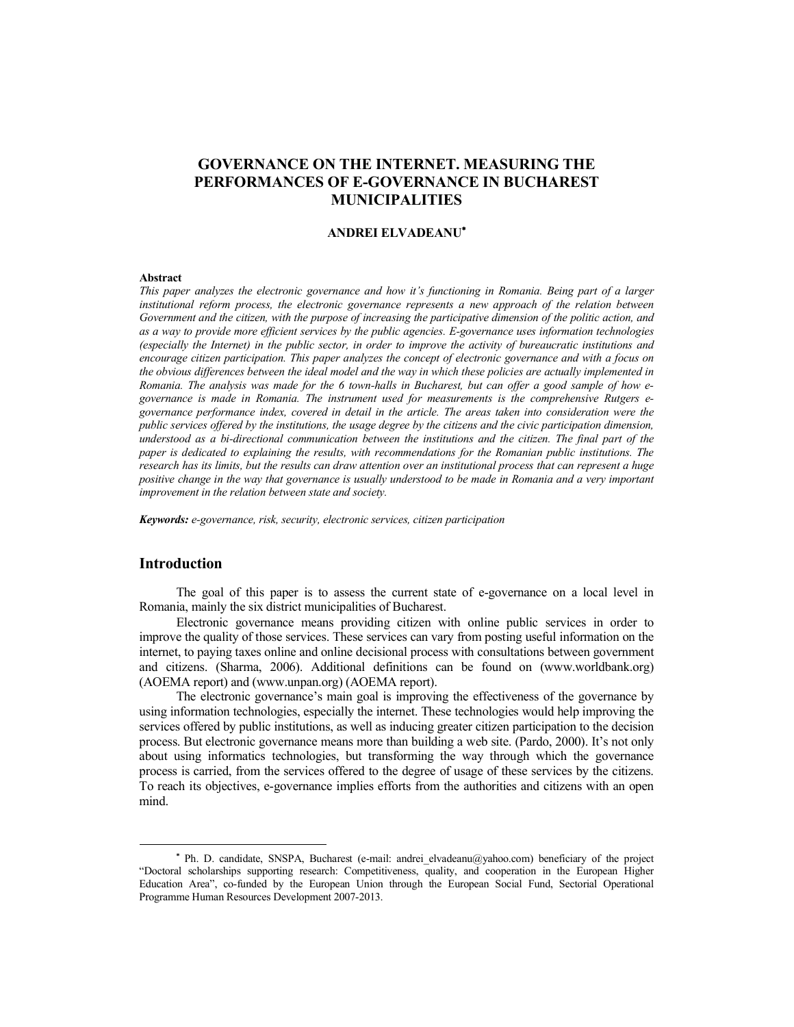# **GOVERNANCE ON THE INTERNET. MEASURING THE PERFORMANCES OF E-GOVERNANCE IN BUCHAREST MUNICIPALITIES**

#### **ANDREI ELVADEANU**

#### **Abstract**

*This paper analyzes the electronic governance and how it's functioning in Romania. Being part of a larger institutional reform process, the electronic governance represents a new approach of the relation between Government and the citizen, with the purpose of increasing the participative dimension of the politic action, and as a way to provide more efficient services by the public agencies. E-governance uses information technologies (especially the Internet) in the public sector, in order to improve the activity of bureaucratic institutions and encourage citizen participation. This paper analyzes the concept of electronic governance and with a focus on the obvious differences between the ideal model and the way in which these policies are actually implemented in Romania. The analysis was made for the 6 town-halls in Bucharest, but can offer a good sample of how egovernance is made in Romania. The instrument used for measurements is the comprehensive Rutgers egovernance performance index, covered in detail in the article. The areas taken into consideration were the public services offered by the institutions, the usage degree by the citizens and the civic participation dimension, understood as a bi-directional communication between the institutions and the citizen. The final part of the paper is dedicated to explaining the results, with recommendations for the Romanian public institutions. The research has its limits, but the results can draw attention over an institutional process that can represent a huge positive change in the way that governance is usually understood to be made in Romania and a very important improvement in the relation between state and society.* 

*Keywords: e-governance, risk, security, electronic services, citizen participation*

## **Introduction**

The goal of this paper is to assess the current state of e-governance on a local level in Romania, mainly the six district municipalities of Bucharest.

Electronic governance means providing citizen with online public services in order to improve the quality of those services. These services can vary from posting useful information on the internet, to paying taxes online and online decisional process with consultations between government and citizens. (Sharma, 2006). Additional definitions can be found on (www.worldbank.org) (AOEMA report) and (www.unpan.org) (AOEMA report).

The electronic governance's main goal is improving the effectiveness of the governance by using information technologies, especially the internet. These technologies would help improving the services offered by public institutions, as well as inducing greater citizen participation to the decision process. But electronic governance means more than building a web site. (Pardo, 2000). It's not only about using informatics technologies, but transforming the way through which the governance process is carried, from the services offered to the degree of usage of these services by the citizens. To reach its objectives, e-governance implies efforts from the authorities and citizens with an open mind.

Ph. D. candidate, SNSPA, Bucharest (e-mail: andrei elvadeanu@yahoo.com) beneficiary of the project "Doctoral scholarships supporting research: Competitiveness, quality, and cooperation in the European Higher Education Area", co-funded by the European Union through the European Social Fund, Sectorial Operational Programme Human Resources Development 2007-2013.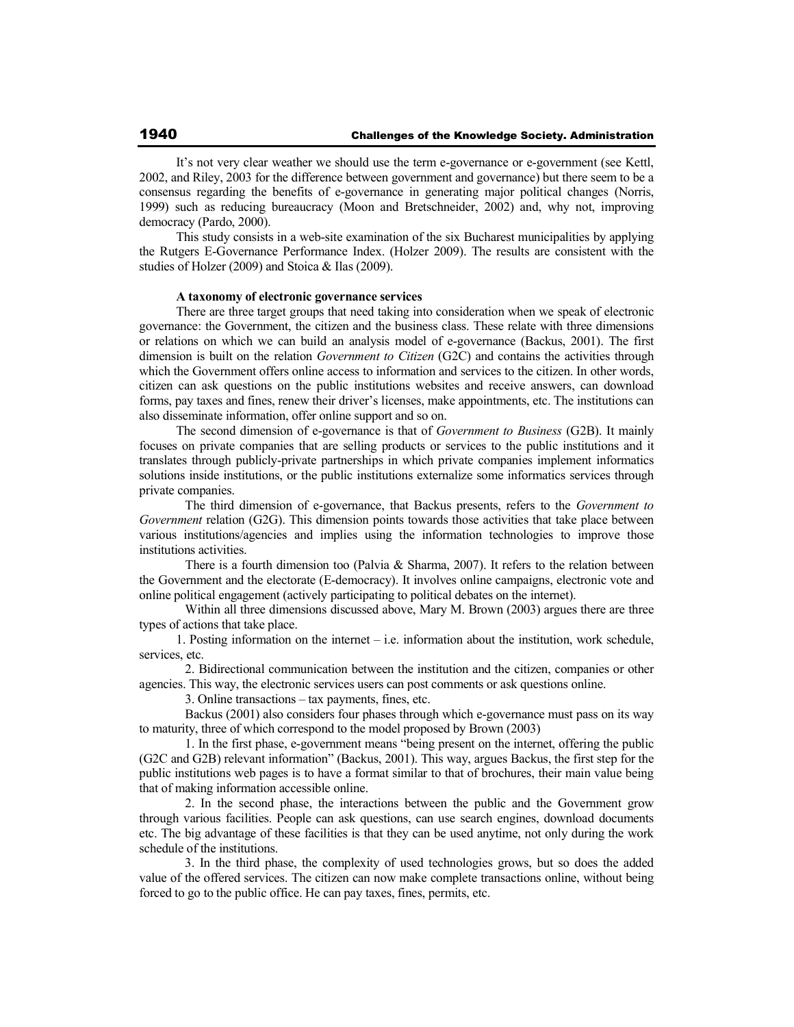It's not very clear weather we should use the term e-governance or e-government (see Kettl, 2002, and Riley, 2003 for the difference between government and governance) but there seem to be a consensus regarding the benefits of e-governance in generating major political changes (Norris, 1999) such as reducing bureaucracy (Moon and Bretschneider, 2002) and, why not, improving democracy (Pardo, 2000).

This study consists in a web-site examination of the six Bucharest municipalities by applying the Rutgers E-Governance Performance Index. (Holzer 2009). The results are consistent with the studies of Holzer (2009) and Stoica & Ilas (2009).

#### **A taxonomy of electronic governance services**

There are three target groups that need taking into consideration when we speak of electronic governance: the Government, the citizen and the business class. These relate with three dimensions or relations on which we can build an analysis model of e-governance (Backus, 2001). The first dimension is built on the relation *Government to Citizen* (G2C) and contains the activities through which the Government offers online access to information and services to the citizen. In other words, citizen can ask questions on the public institutions websites and receive answers, can download forms, pay taxes and fines, renew their driver's licenses, make appointments, etc. The institutions can also disseminate information, offer online support and so on.

The second dimension of e-governance is that of *Government to Business* (G2B). It mainly focuses on private companies that are selling products or services to the public institutions and it translates through publicly-private partnerships in which private companies implement informatics solutions inside institutions, or the public institutions externalize some informatics services through private companies.

 The third dimension of e-governance, that Backus presents, refers to the *Government to Government* relation (G2G). This dimension points towards those activities that take place between various institutions/agencies and implies using the information technologies to improve those institutions activities.

There is a fourth dimension too (Palvia & Sharma, 2007). It refers to the relation between the Government and the electorate (E-democracy). It involves online campaigns, electronic vote and online political engagement (actively participating to political debates on the internet).

 Within all three dimensions discussed above, Mary M. Brown (2003) argues there are three types of actions that take place.

1. Posting information on the internet – i.e. information about the institution, work schedule, services, etc.

 2. Bidirectional communication between the institution and the citizen, companies or other agencies. This way, the electronic services users can post comments or ask questions online.

3. Online transactions – tax payments, fines, etc.

 Backus (2001) also considers four phases through which e-governance must pass on its way to maturity, three of which correspond to the model proposed by Brown (2003)

 1. In the first phase, e-government means "being present on the internet, offering the public (G2C and G2B) relevant information" (Backus, 2001). This way, argues Backus, the first step for the public institutions web pages is to have a format similar to that of brochures, their main value being that of making information accessible online.

 2. In the second phase, the interactions between the public and the Government grow through various facilities. People can ask questions, can use search engines, download documents etc. The big advantage of these facilities is that they can be used anytime, not only during the work schedule of the institutions.

 3. In the third phase, the complexity of used technologies grows, but so does the added value of the offered services. The citizen can now make complete transactions online, without being forced to go to the public office. He can pay taxes, fines, permits, etc.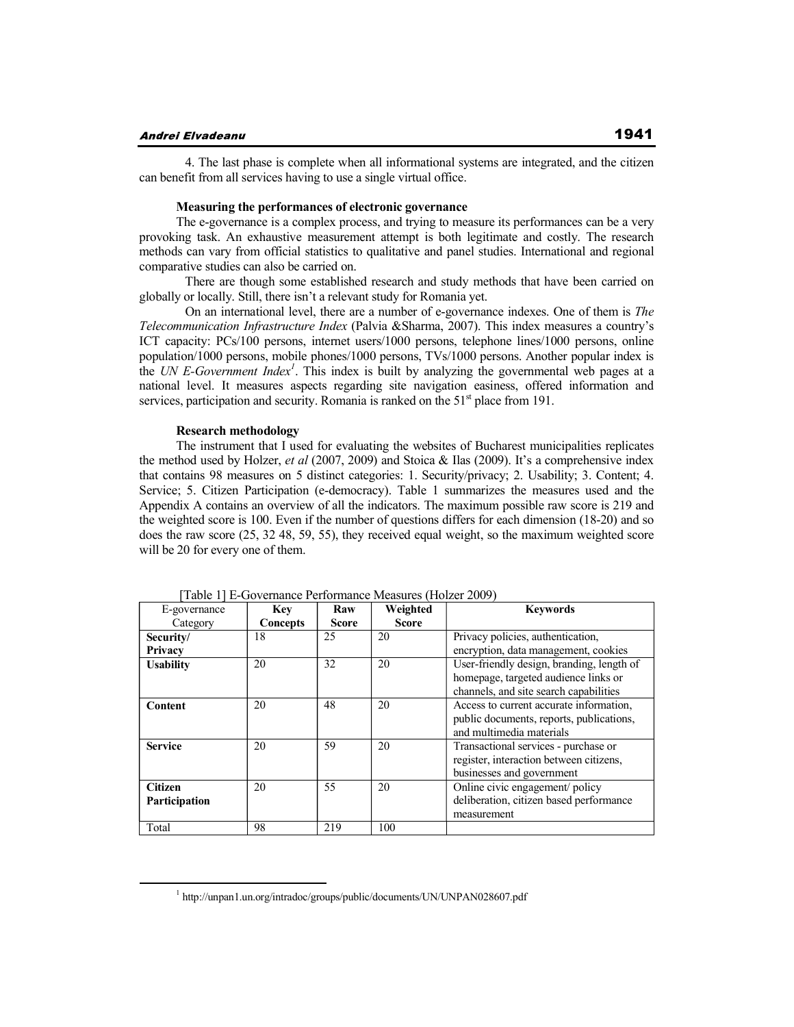#### **Andrei Elvadeanu**

 4. The last phase is complete when all informational systems are integrated, and the citizen can benefit from all services having to use a single virtual office.

### **Measuring the performances of electronic governance**

The e-governance is a complex process, and trying to measure its performances can be a very provoking task. An exhaustive measurement attempt is both legitimate and costly. The research methods can vary from official statistics to qualitative and panel studies. International and regional comparative studies can also be carried on.

 There are though some established research and study methods that have been carried on globally or locally. Still, there isn't a relevant study for Romania yet.

 On an international level, there are a number of e-governance indexes. One of them is *The Telecommunication Infrastructure Index* (Palvia &Sharma, 2007). This index measures a country's ICT capacity: PCs/100 persons, internet users/1000 persons, telephone lines/1000 persons, online population/1000 persons, mobile phones/1000 persons, TVs/1000 persons. Another popular index is the *UN E-Government Index<sup>1</sup>* . This index is built by analyzing the governmental web pages at a national level. It measures aspects regarding site navigation easiness, offered information and services, participation and security. Romania is ranked on the  $51<sup>st</sup>$  place from 191.

#### **Research methodology**

The instrument that I used for evaluating the websites of Bucharest municipalities replicates the method used by Holzer, *et al* (2007, 2009) and Stoica & Ilas (2009). It's a comprehensive index that contains 98 measures on 5 distinct categories: 1. Security/privacy; 2. Usability; 3. Content; 4. Service; 5. Citizen Participation (e-democracy). Table 1 summarizes the measures used and the Appendix A contains an overview of all the indicators. The maximum possible raw score is 219 and the weighted score is 100. Even if the number of questions differs for each dimension (18-20) and so does the raw score (25, 32 48, 59, 55), they received equal weight, so the maximum weighted score will be 20 for every one of them.

| E-governance                    | <b>Key</b> | Raw          | Weighted     | <b>Keywords</b>                                                                                                 |
|---------------------------------|------------|--------------|--------------|-----------------------------------------------------------------------------------------------------------------|
| Category                        | Concepts   | <b>Score</b> | <b>Score</b> |                                                                                                                 |
| Security/                       | 18         | 25           | 20           | Privacy policies, authentication,                                                                               |
| Privacy                         |            |              |              | encryption, data management, cookies                                                                            |
| <b>Usability</b>                | 20         | 32           | 20           | User-friendly design, branding, length of<br>homepage, targeted audience links or                               |
|                                 |            |              |              | channels, and site search capabilities                                                                          |
| Content                         | 20         | 48           | 20           | Access to current accurate information,<br>public documents, reports, publications,<br>and multimedia materials |
| <b>Service</b>                  | 20         | 59           | 20           | Transactional services - purchase or<br>register, interaction between citizens,<br>businesses and government    |
| <b>Citizen</b><br>Participation | 20         | 55           | 20           | Online civic engagement/policy<br>deliberation, citizen based performance<br>measurement                        |
| Total                           | 98         | 219          | 100          |                                                                                                                 |

[Table 1] E-Governance Performance Measures (Holzer 2009)

<sup>&</sup>lt;sup>1</sup> http://unpan1.un.org/intradoc/groups/public/documents/UN/UNPAN028607.pdf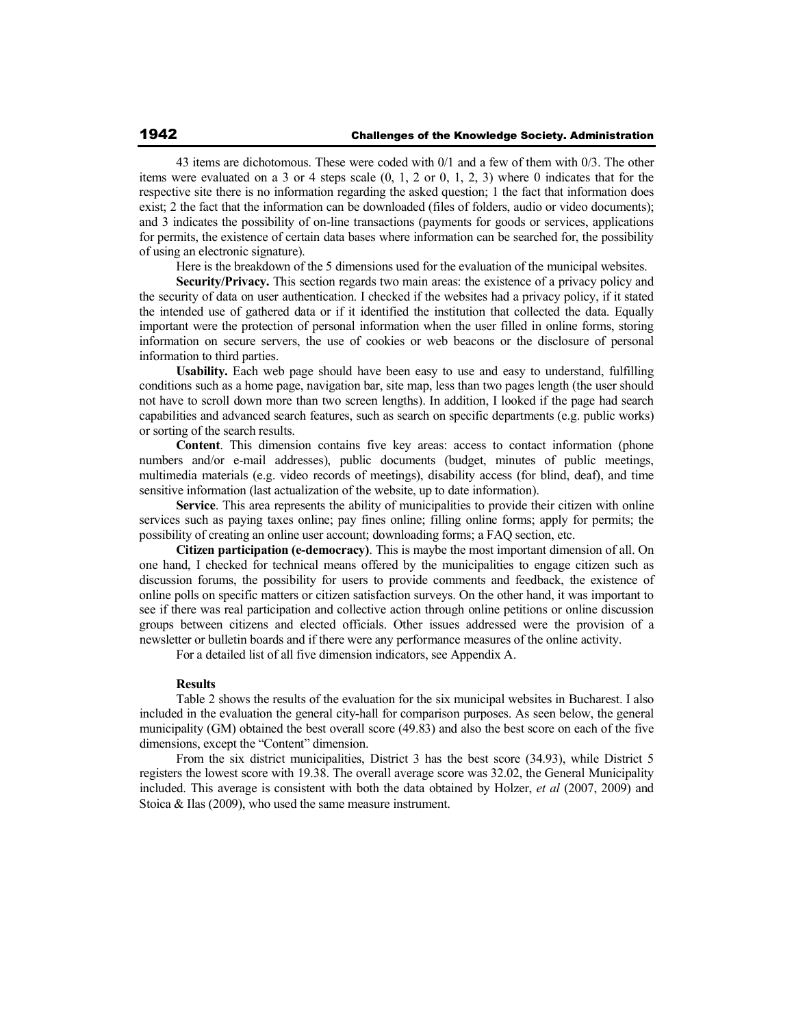43 items are dichotomous. These were coded with 0/1 and a few of them with 0/3. The other items were evaluated on a 3 or 4 steps scale  $(0, 1, 2, 0, 1, 2, 3)$  where 0 indicates that for the respective site there is no information regarding the asked question; 1 the fact that information does exist; 2 the fact that the information can be downloaded (files of folders, audio or video documents); and 3 indicates the possibility of on-line transactions (payments for goods or services, applications for permits, the existence of certain data bases where information can be searched for, the possibility of using an electronic signature).

Here is the breakdown of the 5 dimensions used for the evaluation of the municipal websites.

**Security/Privacy.** This section regards two main areas: the existence of a privacy policy and the security of data on user authentication. I checked if the websites had a privacy policy, if it stated the intended use of gathered data or if it identified the institution that collected the data. Equally important were the protection of personal information when the user filled in online forms, storing information on secure servers, the use of cookies or web beacons or the disclosure of personal information to third parties.

**Usability.** Each web page should have been easy to use and easy to understand, fulfilling conditions such as a home page, navigation bar, site map, less than two pages length (the user should not have to scroll down more than two screen lengths). In addition, I looked if the page had search capabilities and advanced search features, such as search on specific departments (e.g. public works) or sorting of the search results.

**Content**. This dimension contains five key areas: access to contact information (phone numbers and/or e-mail addresses), public documents (budget, minutes of public meetings, multimedia materials (e.g. video records of meetings), disability access (for blind, deaf), and time sensitive information (last actualization of the website, up to date information).

**Service**. This area represents the ability of municipalities to provide their citizen with online services such as paying taxes online; pay fines online; filling online forms; apply for permits; the possibility of creating an online user account; downloading forms; a FAQ section, etc.

**Citizen participation (e-democracy)**. This is maybe the most important dimension of all. On one hand, I checked for technical means offered by the municipalities to engage citizen such as discussion forums, the possibility for users to provide comments and feedback, the existence of online polls on specific matters or citizen satisfaction surveys. On the other hand, it was important to see if there was real participation and collective action through online petitions or online discussion groups between citizens and elected officials. Other issues addressed were the provision of a newsletter or bulletin boards and if there were any performance measures of the online activity.

For a detailed list of all five dimension indicators, see Appendix A.

#### **Results**

Table 2 shows the results of the evaluation for the six municipal websites in Bucharest. I also included in the evaluation the general city-hall for comparison purposes. As seen below, the general municipality (GM) obtained the best overall score (49.83) and also the best score on each of the five dimensions, except the "Content" dimension.

From the six district municipalities, District 3 has the best score (34.93), while District 5 registers the lowest score with 19.38. The overall average score was 32.02, the General Municipality included. This average is consistent with both the data obtained by Holzer, *et al* (2007, 2009) and Stoica & Ilas (2009), who used the same measure instrument.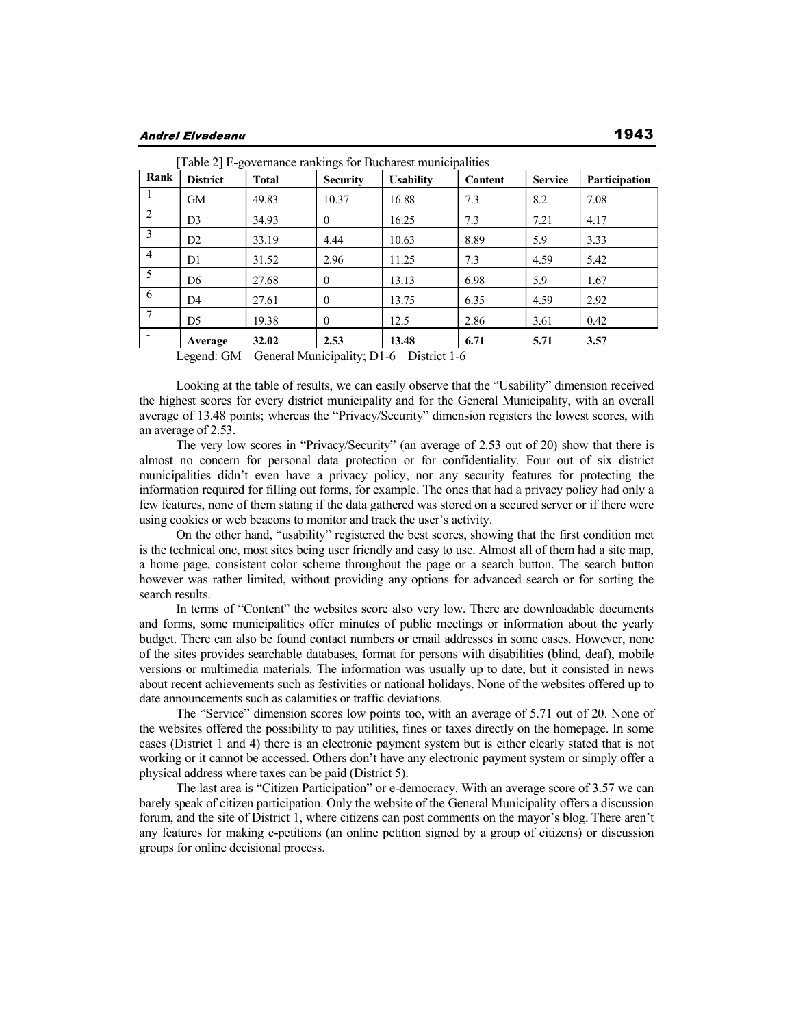| Rank           | <b>District</b> | <b>Total</b> | <b>Security</b> | [Table 2] E-governance rankings for Bucharest municipalities<br><b>Usability</b> | <b>Content</b> | <b>Service</b> | Participation |
|----------------|-----------------|--------------|-----------------|----------------------------------------------------------------------------------|----------------|----------------|---------------|
|                | <b>GM</b>       | 49.83        | 10.37           | 16.88                                                                            | 7.3            | 8.2            | 7.08          |
| 2              | D3              | 34.93        | $\theta$        | 16.25                                                                            | 7.3            | 7.21           | 4.17          |
| 3              | D2              | 33.19        | 4.44            | 10.63                                                                            | 8.89           | 5.9            | 3.33          |
| $\overline{4}$ | D <sub>1</sub>  | 31.52        | 2.96            | 11.25                                                                            | 7.3            | 4.59           | 5.42          |
| 5              | D6              | 27.68        | $\Omega$        | 13.13                                                                            | 6.98           | 5.9            | 1.67          |
| 6              | D <sub>4</sub>  | 27.61        | $\Omega$        | 13.75                                                                            | 6.35           | 4.59           | 2.92          |
|                | D5              | 19.38        | $\theta$        | 12.5                                                                             | 2.86           | 3.61           | 0.42          |
|                | Average         | 32.02        | 2.53            | 13.48                                                                            | 6.71           | 5.71           | 3.57          |

Legend: GM – General Municipality; D1-6 – District 1-6

Looking at the table of results, we can easily observe that the "Usability" dimension received the highest scores for every district municipality and for the General Municipality, with an overall average of 13.48 points; whereas the "Privacy/Security" dimension registers the lowest scores, with an average of 2.53.

The very low scores in "Privacy/Security" (an average of 2.53 out of 20) show that there is almost no concern for personal data protection or for confidentiality. Four out of six district municipalities didn't even have a privacy policy, nor any security features for protecting the information required for filling out forms, for example. The ones that had a privacy policy had only a few features, none of them stating if the data gathered was stored on a secured server or if there were using cookies or web beacons to monitor and track the user's activity.

On the other hand, "usability" registered the best scores, showing that the first condition met is the technical one, most sites being user friendly and easy to use. Almost all of them had a site map, a home page, consistent color scheme throughout the page or a search button. The search button however was rather limited, without providing any options for advanced search or for sorting the search results.

In terms of "Content" the websites score also very low. There are downloadable documents and forms, some municipalities offer minutes of public meetings or information about the yearly budget. There can also be found contact numbers or email addresses in some cases. However, none of the sites provides searchable databases, format for persons with disabilities (blind, deaf), mobile versions or multimedia materials. The information was usually up to date, but it consisted in news about recent achievements such as festivities or national holidays. None of the websites offered up to date announcements such as calamities or traffic deviations.

The "Service" dimension scores low points too, with an average of 5.71 out of 20. None of the websites offered the possibility to pay utilities, fines or taxes directly on the homepage. In some cases (District 1 and 4) there is an electronic payment system but is either clearly stated that is not working or it cannot be accessed. Others don't have any electronic payment system or simply offer a physical address where taxes can be paid (District 5).

The last area is "Citizen Participation" or e-democracy. With an average score of 3.57 we can barely speak of citizen participation. Only the website of the General Municipality offers a discussion forum, and the site of District 1, where citizens can post comments on the mayor's blog. There aren't any features for making e-petitions (an online petition signed by a group of citizens) or discussion groups for online decisional process.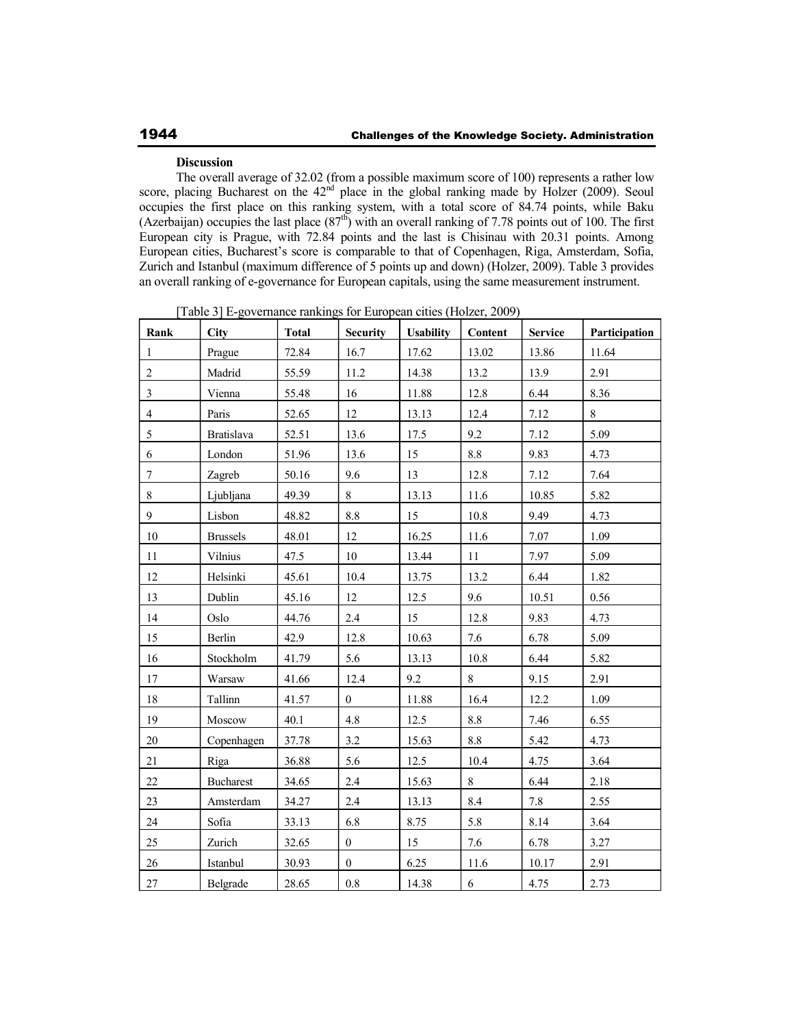### **Discussion**

The overall average of 32.02 (from a possible maximum score of 100) represents a rather low score, placing Bucharest on the 42<sup>nd</sup> place in the global ranking made by Holzer (2009). Seoul occupies the first place on this ranking system, with a total score of 84.74 points, while Baku (Azerbaijan) occupies the last place  $(87<sup>th</sup>)$  with an overall ranking of 7.78 points out of 100. The first European city is Prague, with 72.84 points and the last is Chisinau with 20.31 points. Among European cities, Bucharest's score is comparable to that of Copenhagen, Riga, Amsterdam, Sofia, Zurich and Istanbul (maximum difference of 5 points up and down) (Holzer, 2009). Table 3 provides an overall ranking of e-governance for European capitals, using the same measurement instrument.

| Rank                    | <b>City</b>       | <b>Total</b> | <b>Security</b>  | <b>Usability</b> | Content | <b>Service</b> | Participation |
|-------------------------|-------------------|--------------|------------------|------------------|---------|----------------|---------------|
| $\mathbf{1}$            | Prague            | 72.84        | 16.7             | 17.62            | 13.02   | 13.86          | 11.64         |
| $\boldsymbol{2}$        | Madrid            | 55.59        | 11.2             | 14.38            | 13.2    | 13.9           | 2.91          |
| $\mathfrak{Z}$          | Vienna            | 55.48        | 16               | 11.88            | 12.8    | 6.44           | 8.36          |
| $\overline{\mathbf{4}}$ | Paris             | 52.65        | 12               | 13.13            | 12.4    | 7.12           | $8\,$         |
| 5                       | <b>Bratislava</b> | 52.51        | 13.6             | 17.5             | 9.2     | 7.12           | 5.09          |
| $\sqrt{6}$              | London            | 51.96        | 13.6             | 15               | $8.8\,$ | 9.83           | 4.73          |
| $\boldsymbol{7}$        | Zagreb            | 50.16        | 9.6              | 13               | 12.8    | 7.12           | 7.64          |
| $8\,$                   | Ljubljana         | 49.39        | 8                | 13.13            | 11.6    | 10.85          | 5.82          |
| $\mathbf{9}$            | Lisbon            | 48.82        | $8.8\,$          | 15               | 10.8    | 9.49           | 4.73          |
| $10\,$                  | <b>Brussels</b>   | 48.01        | 12               | 16.25            | 11.6    | 7.07           | 1.09          |
| $11\,$                  | Vilnius           | 47.5         | 10               | 13.44            | 11      | 7.97           | 5.09          |
| 12                      | Helsinki          | 45.61        | 10.4             | 13.75            | 13.2    | 6.44           | 1.82          |
| 13                      | Dublin            | 45.16        | 12               | 12.5             | 9.6     | 10.51          | 0.56          |
| 14                      | Oslo              | 44.76        | 2.4              | 15               | 12.8    | 9.83           | 4.73          |
| 15                      | Berlin            | 42.9         | 12.8             | 10.63            | 7.6     | 6.78           | 5.09          |
| 16                      | Stockholm         | 41.79        | 5.6              | 13.13            | 10.8    | 6.44           | 5.82          |
| 17                      | Warsaw            | 41.66        | 12.4             | 9.2              | $8\,$   | 9.15           | 2.91          |
| $18\,$                  | Tallinn           | 41.57        | $\boldsymbol{0}$ | 11.88            | 16.4    | 12.2           | 1.09          |
| 19                      | Moscow            | 40.1         | 4.8              | 12.5             | 8.8     | 7.46           | 6.55          |
| $20\,$                  | Copenhagen        | 37.78        | 3.2              | 15.63            | $8.8\,$ | 5.42           | 4.73          |
| 21                      | Riga              | 36.88        | 5.6              | 12.5             | 10.4    | 4.75           | 3.64          |
| 22                      | <b>Bucharest</b>  | 34.65        | 2.4              | 15.63            | 8       | 6.44           | 2.18          |
| 23                      | Amsterdam         | 34.27        | 2.4              | 13.13            | $8.4\,$ | 7.8            | 2.55          |
| 24                      | Sofia             | 33.13        | 6.8              | 8.75             | 5.8     | 8.14           | 3.64          |
| 25                      | Zurich            | 32.65        | $\boldsymbol{0}$ | 15               | 7.6     | 6.78           | 3.27          |
| $26\,$                  | Istanbul          | 30.93        | $\boldsymbol{0}$ | 6.25             | 11.6    | 10.17          | 2.91          |
| 27                      | Belgrade          | 28.65        | $0.8\,$          | 14.38            | 6       | 4.75           | 2.73          |

[Table 3] E-governance rankings for European cities (Holzer, 2009)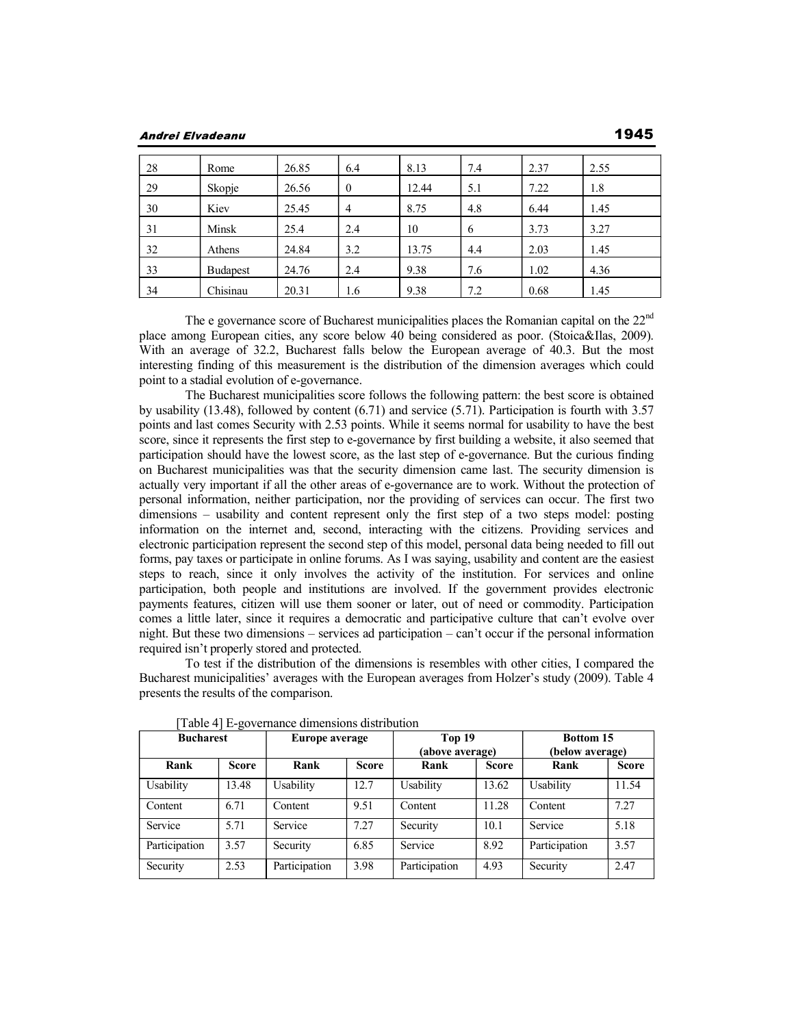**Andrei Elvadeanu** 

| 28 | Rome            | 26.85 | 6.4          | 8.13  | 7.4 | 2.37 | 2.55 |
|----|-----------------|-------|--------------|-------|-----|------|------|
| 29 | Skopje          | 26.56 | $\mathbf{0}$ | 12.44 | 5.1 | 7.22 | 1.8  |
| 30 | Kiev            | 25.45 | 4            | 8.75  | 4.8 | 6.44 | 1.45 |
| 31 | Minsk           | 25.4  | 2.4          | 10    | 6   | 3.73 | 3.27 |
| 32 | Athens          | 24.84 | 3.2          | 13.75 | 4.4 | 2.03 | 1.45 |
| 33 | <b>Budapest</b> | 24.76 | 2.4          | 9.38  | 7.6 | 1.02 | 4.36 |
| 34 | Chisinau        | 20.31 | 1.6          | 9.38  | 7.2 | 0.68 | 1.45 |

The e governance score of Bucharest municipalities places the Romanian capital on the 22<sup>nd</sup> place among European cities, any score below 40 being considered as poor. (Stoica&Ilas, 2009). With an average of 32.2, Bucharest falls below the European average of 40.3. But the most interesting finding of this measurement is the distribution of the dimension averages which could point to a stadial evolution of e-governance.

 The Bucharest municipalities score follows the following pattern: the best score is obtained by usability (13.48), followed by content (6.71) and service (5.71). Participation is fourth with 3.57 points and last comes Security with 2.53 points. While it seems normal for usability to have the best score, since it represents the first step to e-governance by first building a website, it also seemed that participation should have the lowest score, as the last step of e-governance. But the curious finding on Bucharest municipalities was that the security dimension came last. The security dimension is actually very important if all the other areas of e-governance are to work. Without the protection of personal information, neither participation, nor the providing of services can occur. The first two dimensions – usability and content represent only the first step of a two steps model: posting information on the internet and, second, interacting with the citizens. Providing services and electronic participation represent the second step of this model, personal data being needed to fill out forms, pay taxes or participate in online forums. As I was saying, usability and content are the easiest steps to reach, since it only involves the activity of the institution. For services and online participation, both people and institutions are involved. If the government provides electronic payments features, citizen will use them sooner or later, out of need or commodity. Participation comes a little later, since it requires a democratic and participative culture that can't evolve over night. But these two dimensions – services ad participation – can't occur if the personal information required isn't properly stored and protected.

 To test if the distribution of the dimensions is resembles with other cities, I compared the Bucharest municipalities' averages with the European averages from Holzer's study (2009). Table 4 presents the results of the comparison.

| <b>Bucharest</b><br>Europe average |              | Top 19<br>(above average) |              | <b>Bottom 15</b><br>(below average) |              |               |              |
|------------------------------------|--------------|---------------------------|--------------|-------------------------------------|--------------|---------------|--------------|
| Rank                               | <b>Score</b> | Rank                      | <b>Score</b> | Rank                                | <b>Score</b> | Rank          | <b>Score</b> |
| Usability                          | 13.48        | Usability                 | 12.7         | Usability                           | 13.62        | Usability     | 11.54        |
| Content                            | 6.71         | Content                   | 9.51         | Content                             | 11.28        | Content       | 7.27         |
| Service                            | 5.71         | Service                   | 7.27         | Security                            | 10.1         | Service       | 5.18         |
| Participation                      | 3.57         | Security                  | 6.85         | Service                             | 8.92         | Participation | 3.57         |
| Security                           | 2.53         | Participation             | 3.98         | Participation                       | 4.93         | Security      | 2.47         |

[Table 4] E-governance dimensions distribution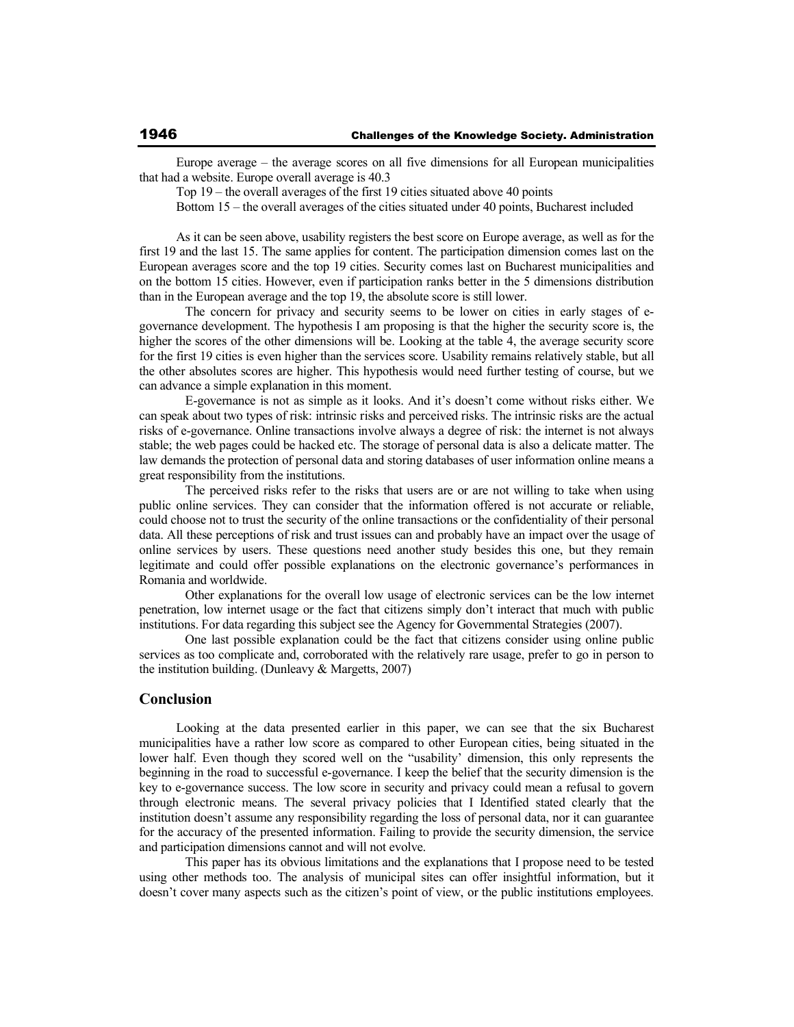Europe average – the average scores on all five dimensions for all European municipalities that had a website. Europe overall average is 40.3

Top 19 – the overall averages of the first 19 cities situated above 40 points

Bottom 15 – the overall averages of the cities situated under 40 points, Bucharest included

As it can be seen above, usability registers the best score on Europe average, as well as for the first 19 and the last 15. The same applies for content. The participation dimension comes last on the European averages score and the top 19 cities. Security comes last on Bucharest municipalities and on the bottom 15 cities. However, even if participation ranks better in the 5 dimensions distribution than in the European average and the top 19, the absolute score is still lower.

 The concern for privacy and security seems to be lower on cities in early stages of egovernance development. The hypothesis I am proposing is that the higher the security score is, the higher the scores of the other dimensions will be. Looking at the table 4, the average security score for the first 19 cities is even higher than the services score. Usability remains relatively stable, but all the other absolutes scores are higher. This hypothesis would need further testing of course, but we can advance a simple explanation in this moment.

 E-governance is not as simple as it looks. And it's doesn't come without risks either. We can speak about two types of risk: intrinsic risks and perceived risks. The intrinsic risks are the actual risks of e-governance. Online transactions involve always a degree of risk: the internet is not always stable; the web pages could be hacked etc. The storage of personal data is also a delicate matter. The law demands the protection of personal data and storing databases of user information online means a great responsibility from the institutions.

 The perceived risks refer to the risks that users are or are not willing to take when using public online services. They can consider that the information offered is not accurate or reliable, could choose not to trust the security of the online transactions or the confidentiality of their personal data. All these perceptions of risk and trust issues can and probably have an impact over the usage of online services by users. These questions need another study besides this one, but they remain legitimate and could offer possible explanations on the electronic governance's performances in Romania and worldwide.

 Other explanations for the overall low usage of electronic services can be the low internet penetration, low internet usage or the fact that citizens simply don't interact that much with public institutions. For data regarding this subject see the Agency for Governmental Strategies (2007).

 One last possible explanation could be the fact that citizens consider using online public services as too complicate and, corroborated with the relatively rare usage, prefer to go in person to the institution building. (Dunleavy & Margetts, 2007)

## **Conclusion**

Looking at the data presented earlier in this paper, we can see that the six Bucharest municipalities have a rather low score as compared to other European cities, being situated in the lower half. Even though they scored well on the "usability' dimension, this only represents the beginning in the road to successful e-governance. I keep the belief that the security dimension is the key to e-governance success. The low score in security and privacy could mean a refusal to govern through electronic means. The several privacy policies that I Identified stated clearly that the institution doesn't assume any responsibility regarding the loss of personal data, nor it can guarantee for the accuracy of the presented information. Failing to provide the security dimension, the service and participation dimensions cannot and will not evolve.

 This paper has its obvious limitations and the explanations that I propose need to be tested using other methods too. The analysis of municipal sites can offer insightful information, but it doesn't cover many aspects such as the citizen's point of view, or the public institutions employees.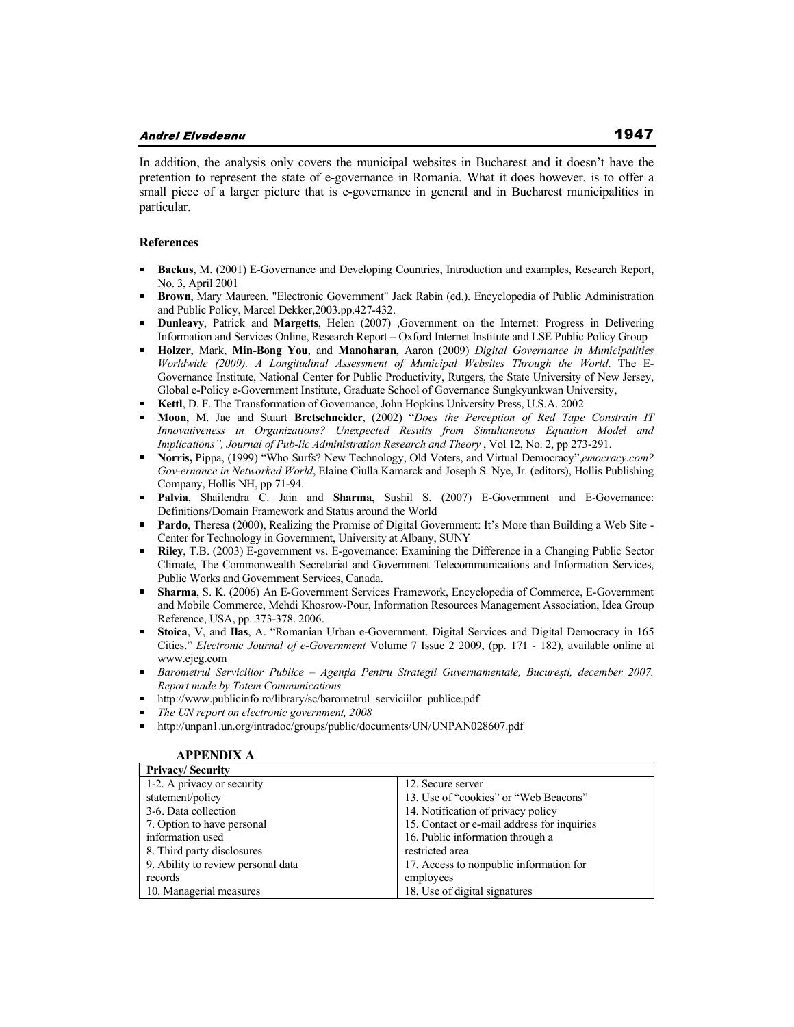In addition, the analysis only covers the municipal websites in Bucharest and it doesn't have the pretention to represent the state of e-governance in Romania. What it does however, is to offer a small piece of a larger picture that is e-governance in general and in Bucharest municipalities in particular.

#### **References**

- **Backus**, M. (2001) E-Governance and Developing Countries, Introduction and examples, Research Report,  $\blacksquare$ No. 3, April 2001
- **Brown**, Mary Maureen. "Electronic Government" Jack Rabin (ed.). Encyclopedia of Public Administration  $\blacksquare$ and Public Policy, Marcel Dekker,2003.pp.427-432.
- **Dunleavy**, Patrick and **Margetts**, Helen (2007) ,Government on the Internet: Progress in Delivering Information and Services Online, Research Report – Oxford Internet Institute and LSE Public Policy Group
- **Holzer**, Mark, **Min-Bong You**, and **Manoharan**, Aaron (2009) *Digital Governance in Municipalities Worldwide (2009). A Longitudinal Assessment of Municipal Websites Through the World*. The E-Governance Institute, National Center for Public Productivity, Rutgers, the State University of New Jersey, Global e-Policy e-Government Institute, Graduate School of Governance Sungkyunkwan University,
- **Kettl**, D. F. The Transformation of Governance, John Hopkins University Press, U.S.A. 2002
- **Moon**, M. Jae and Stuart **Bretschneider**, (2002) "*Does the Perception of Red Tape Constrain IT Innovativeness in Organizations? Unexpected Results from Simultaneous Equation Model and Implications", Journal of Pub-lic Administration Research and Theory , Vol 12, No. 2, pp 273-291.*
- **Norris,** Pippa, (1999) "Who Surfs? New Technology, Old Voters, and Virtual Democracy",*emocracy.com? Gov-ernance in Networked World*, Elaine Ciulla Kamarck and Joseph S. Nye, Jr. (editors), Hollis Publishing Company, Hollis NH, pp 71-94.
- **Palvia**, Shailendra C. Jain and **Sharma**, Sushil S. (2007) E-Government and E-Governance: Definitions/Domain Framework and Status around the World
- **Pardo**, Theresa (2000), Realizing the Promise of Digital Government: It's More than Building a Web Site Center for Technology in Government, University at Albany, SUNY
- **Riley**, T.B. (2003) E-government vs. E-governance: Examining the Difference in a Changing Public Sector Climate, The Commonwealth Secretariat and Government Telecommunications and Information Services, Public Works and Government Services, Canada.
- $\blacksquare$ **Sharma**, S. K. (2006) An E-Government Services Framework, Encyclopedia of Commerce, E-Government and Mobile Commerce, Mehdi Khosrow-Pour, Information Resources Management Association, Idea Group Reference, USA, pp. 373-378. 2006.
- $\mathbf{m}$ **Stoica**, V, and **Ilas**, A. "Romanian Urban e-Government. Digital Services and Digital Democracy in 165 Cities." *Electronic Journal of e-Government* Volume 7 Issue 2 2009, (pp. 171 - 182), available online at www.ejeg.com
- Barometrul Serviciilor Publice Agentia Pentru Strategii Guvernamentale, Bucuresti, december 2007. *Report made by Totem Communications*
- http://www.publicinfo ro/library/sc/barometrul\_serviciilor\_publice.pdf
- *The UN report on electronic government, 2008*
- http://unpan1.un.org/intradoc/groups/public/documents/UN/UNPAN028607.pdf

| <b>Privacy/Security</b>            |                                             |
|------------------------------------|---------------------------------------------|
| 1-2. A privacy or security         | 12. Secure server                           |
| statement/policy                   | 13. Use of "cookies" or "Web Beacons"       |
| 3-6. Data collection               | 14. Notification of privacy policy          |
| 7. Option to have personal         | 15. Contact or e-mail address for inquiries |
| information used                   | 16. Public information through a            |
| 8. Third party disclosures         | restricted area                             |
| 9. Ability to review personal data | 17. Access to nonpublic information for     |
| records                            | employees                                   |
| 10. Managerial measures            | 18. Use of digital signatures               |

### **APPENDIX A**